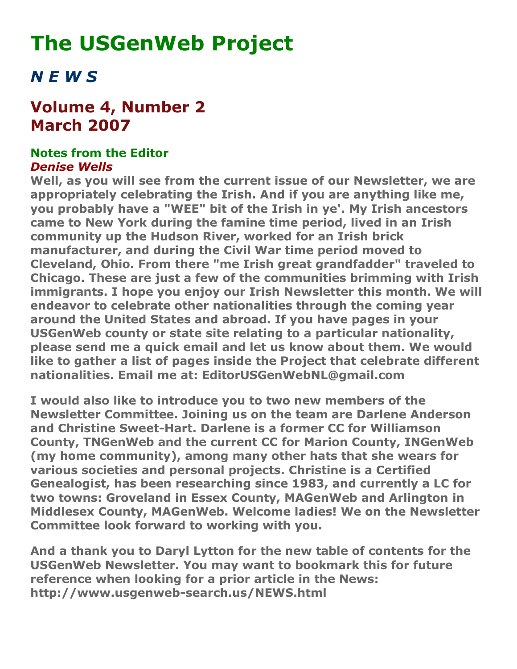# **The USGenWeb Project**

## *N E W S*

### **Volume 4, Number 2 March 2007**

#### **Notes from the Editor** *Denise Wells*

**Well, as you will see from the current issue of our Newsletter, we are appropriately celebrating the Irish. And if you are anything like me, you probably have a "WEE" bit of the Irish in ye'. My Irish ancestors came to New York during the famine time period, lived in an Irish community up the Hudson River, worked for an Irish brick manufacturer, and during the Civil War time period moved to Cleveland, Ohio. From there "me Irish great grandfadder" traveled to Chicago. These are just a few of the communities brimming with Irish immigrants. I hope you enjoy our Irish Newsletter this month. We will endeavor to celebrate other nationalities through the coming year around the United States and abroad. If you have pages in your USGenWeb county or state site relating to a particular nationality, please send me a quick email and let us know about them. We would like to gather a list of pages inside the Project that celebrate different nationalities. Email me at: EditorUSGenWebNL@gmail.com**

**I would also like to introduce you to two new members of the Newsletter Committee. Joining us on the team are Darlene Anderson and Christine Sweet-Hart. Darlene is a former CC for Williamson County, TNGenWeb and the current CC for Marion County, INGenWeb (my home community), among many other hats that she wears for various societies and personal projects. Christine is a Certified Genealogist, has been researching since 1983, and currently a LC for two towns: Groveland in Essex County, MAGenWeb and Arlington in Middlesex County, MAGenWeb. Welcome ladies! We on the Newsletter Committee look forward to working with you.**

**And a thank you to Daryl Lytton for the new table of contents for the USGenWeb Newsletter. You may want to bookmark this for future reference when looking for a prior article in the News: http://www.usgenweb-search.us/NEWS.html**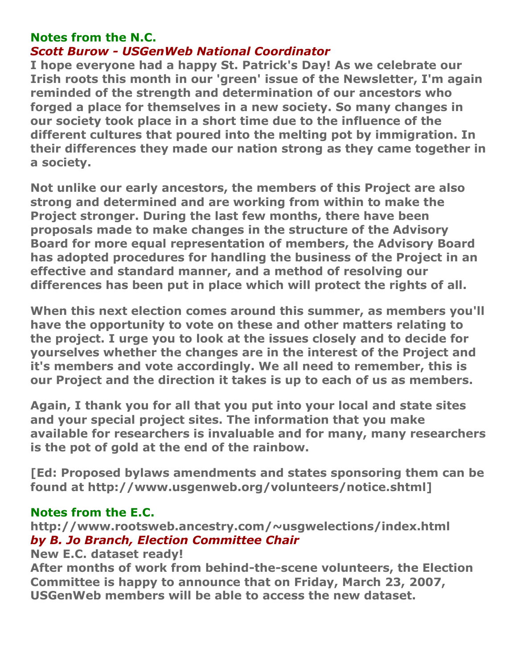#### **Notes from the N.C.**

#### *Scott Burow - USGenWeb National Coordinator*

**I hope everyone had a happy St. Patrick's Day! As we celebrate our Irish roots this month in our 'green' issue of the Newsletter, I'm again reminded of the strength and determination of our ancestors who forged a place for themselves in a new society. So many changes in our society took place in a short time due to the influence of the different cultures that poured into the melting pot by immigration. In their differences they made our nation strong as they came together in a society.**

**Not unlike our early ancestors, the members of this Project are also strong and determined and are working from within to make the Project stronger. During the last few months, there have been proposals made to make changes in the structure of the Advisory Board for more equal representation of members, the Advisory Board has adopted procedures for handling the business of the Project in an effective and standard manner, and a method of resolving our differences has been put in place which will protect the rights of all.**

**When this next election comes around this summer, as members you'll have the opportunity to vote on these and other matters relating to the project. I urge you to look at the issues closely and to decide for yourselves whether the changes are in the interest of the Project and it's members and vote accordingly. We all need to remember, this is our Project and the direction it takes is up to each of us as members.**

**Again, I thank you for all that you put into your local and state sites and your special project sites. The information that you make available for researchers is invaluable and for many, many researchers is the pot of gold at the end of the rainbow.**

**[Ed: Proposed bylaws amendments and states sponsoring them can be found at http://www.usgenweb.org/volunteers/notice.shtml]**

#### **Notes from the E.C.**

**http://www.rootsweb.ancestry.com/~usgwelections/index.html** *by B. Jo Branch, Election Committee Chair*

#### **New E.C. dataset ready!**

**After months of work from behind-the-scene volunteers, the Election Committee is happy to announce that on Friday, March 23, 2007, USGenWeb members will be able to access the new dataset.**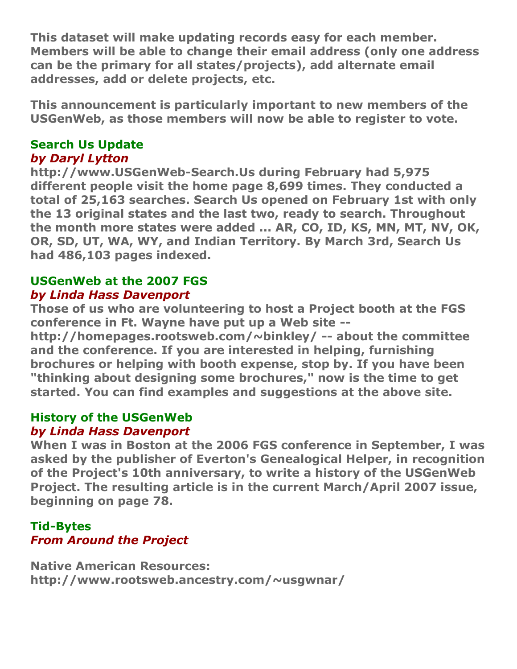**This dataset will make updating records easy for each member. Members will be able to change their email address (only one address can be the primary for all states/projects), add alternate email addresses, add or delete projects, etc.**

**This announcement is particularly important to new members of the USGenWeb, as those members will now be able to register to vote.**

#### **Search Us Update** *by Daryl Lytton*

**http://www.USGenWeb-Search.Us during February had 5,975 different people visit the home page 8,699 times. They conducted a total of 25,163 searches. Search Us opened on February 1st with only the 13 original states and the last two, ready to search. Throughout the month more states were added ... AR, CO, ID, KS, MN, MT, NV, OK, OR, SD, UT, WA, WY, and Indian Territory. By March 3rd, Search Us had 486,103 pages indexed.**

#### **USGenWeb at the 2007 FGS** *by Linda Hass Davenport*

**Those of us who are volunteering to host a Project booth at the FGS conference in Ft. Wayne have put up a Web site --**

**http://homepages.rootsweb.com/~binkley/ -- about the committee and the conference. If you are interested in helping, furnishing brochures or helping with booth expense, stop by. If you have been "thinking about designing some brochures," now is the time to get started. You can find examples and suggestions at the above site.**

#### **History of the USGenWeb** *by Linda Hass Davenport*

**When I was in Boston at the 2006 FGS conference in September, I was asked by the publisher of Everton's Genealogical Helper, in recognition of the Project's 10th anniversary, to write a history of the USGenWeb Project. The resulting article is in the current March/April 2007 issue, beginning on page 78.**

#### **Tid-Bytes** *From Around the Project*

**Native American Resources: http://www.rootsweb.ancestry.com/~usgwnar/**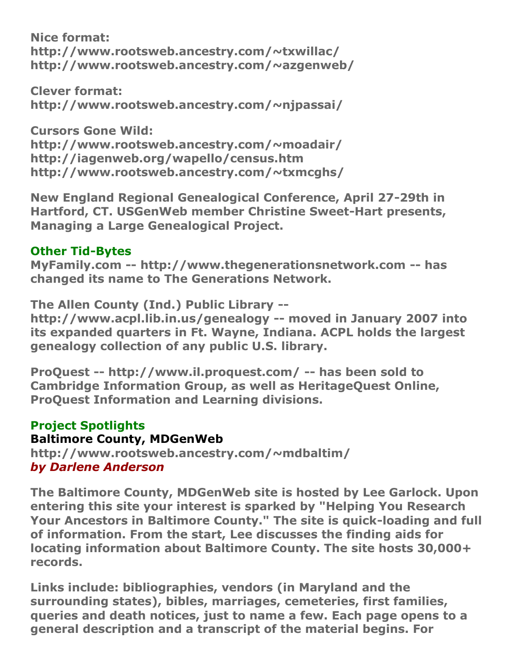**Nice format: http://www.rootsweb.ancestry.com/~txwillac/ http://www.rootsweb.ancestry.com/~azgenweb/**

**Clever format: http://www.rootsweb.ancestry.com/~njpassai/**

**Cursors Gone Wild: http://www.rootsweb.ancestry.com/~moadair/ http://iagenweb.org/wapello/census.htm http://www.rootsweb.ancestry.com/~txmcghs/**

**New England Regional Genealogical Conference, April 27-29th in Hartford, CT. USGenWeb member Christine Sweet-Hart presents, Managing a Large Genealogical Project.**

#### **Other Tid-Bytes**

**MyFamily.com -- http://www.thegenerationsnetwork.com -- has changed its name to The Generations Network.**

**The Allen County (Ind.) Public Library - http://www.acpl.lib.in.us/genealogy -- moved in January 2007 into its expanded quarters in Ft. Wayne, Indiana. ACPL holds the largest** 

**genealogy collection of any public U.S. library.**

**ProQuest -- http://www.il.proquest.com/ -- has been sold to Cambridge Information Group, as well as HeritageQuest Online, ProQuest Information and Learning divisions.**

#### **Project Spotlights**

#### **Baltimore County, MDGenWeb**

**http://www.rootsweb.ancestry.com/~mdbaltim/** *by Darlene Anderson*

**The Baltimore County, MDGenWeb site is hosted by Lee Garlock. Upon entering this site your interest is sparked by "Helping You Research Your Ancestors in Baltimore County." The site is quick-loading and full of information. From the start, Lee discusses the finding aids for locating information about Baltimore County. The site hosts 30,000+ records.**

**Links include: bibliographies, vendors (in Maryland and the surrounding states), bibles, marriages, cemeteries, first families, queries and death notices, just to name a few. Each page opens to a general description and a transcript of the material begins. For**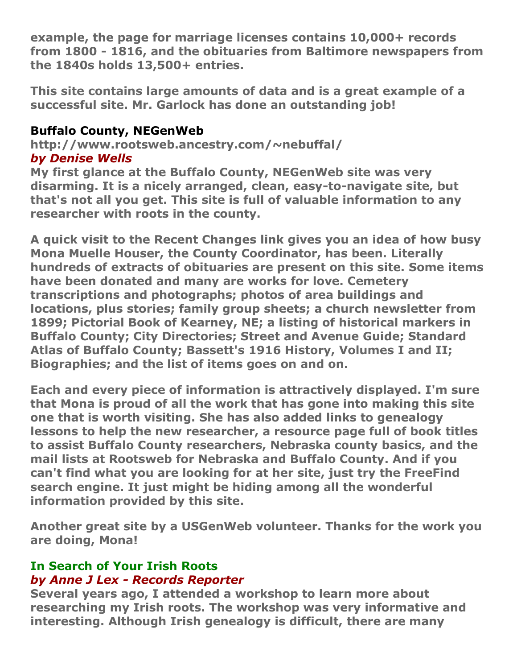**example, the page for marriage licenses contains 10,000+ records from 1800 - 1816, and the obituaries from Baltimore newspapers from the 1840s holds 13,500+ entries.**

**This site contains large amounts of data and is a great example of a successful site. Mr. Garlock has done an outstanding job!**

#### **Buffalo County, NEGenWeb**

**http://www.rootsweb.ancestry.com/~nebuffal/** *by Denise Wells*

**My first glance at the Buffalo County, NEGenWeb site was very disarming. It is a nicely arranged, clean, easy-to-navigate site, but that's not all you get. This site is full of valuable information to any researcher with roots in the county.**

**A quick visit to the Recent Changes link gives you an idea of how busy Mona Muelle Houser, the County Coordinator, has been. Literally hundreds of extracts of obituaries are present on this site. Some items have been donated and many are works for love. Cemetery transcriptions and photographs; photos of area buildings and locations, plus stories; family group sheets; a church newsletter from 1899; Pictorial Book of Kearney, NE; a listing of historical markers in Buffalo County; City Directories; Street and Avenue Guide; Standard Atlas of Buffalo County; Bassett's 1916 History, Volumes I and II; Biographies; and the list of items goes on and on.**

**Each and every piece of information is attractively displayed. I'm sure that Mona is proud of all the work that has gone into making this site one that is worth visiting. She has also added links to genealogy lessons to help the new researcher, a resource page full of book titles to assist Buffalo County researchers, Nebraska county basics, and the mail lists at Rootsweb for Nebraska and Buffalo County. And if you can't find what you are looking for at her site, just try the FreeFind search engine. It just might be hiding among all the wonderful information provided by this site.**

**Another great site by a USGenWeb volunteer. Thanks for the work you are doing, Mona!**

#### **In Search of Your Irish Roots** *by Anne J Lex - Records Reporter*

**Several years ago, I attended a workshop to learn more about researching my Irish roots. The workshop was very informative and interesting. Although Irish genealogy is difficult, there are many**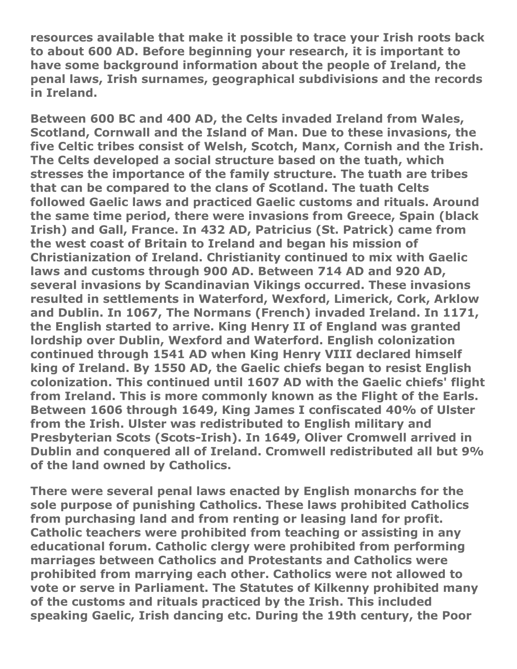**resources available that make it possible to trace your Irish roots back to about 600 AD. Before beginning your research, it is important to have some background information about the people of Ireland, the penal laws, Irish surnames, geographical subdivisions and the records in Ireland.**

**Between 600 BC and 400 AD, the Celts invaded Ireland from Wales, Scotland, Cornwall and the Island of Man. Due to these invasions, the five Celtic tribes consist of Welsh, Scotch, Manx, Cornish and the Irish. The Celts developed a social structure based on the tuath, which stresses the importance of the family structure. The tuath are tribes that can be compared to the clans of Scotland. The tuath Celts followed Gaelic laws and practiced Gaelic customs and rituals. Around the same time period, there were invasions from Greece, Spain (black Irish) and Gall, France. In 432 AD, Patricius (St. Patrick) came from the west coast of Britain to Ireland and began his mission of Christianization of Ireland. Christianity continued to mix with Gaelic laws and customs through 900 AD. Between 714 AD and 920 AD, several invasions by Scandinavian Vikings occurred. These invasions resulted in settlements in Waterford, Wexford, Limerick, Cork, Arklow and Dublin. In 1067, The Normans (French) invaded Ireland. In 1171, the English started to arrive. King Henry II of England was granted lordship over Dublin, Wexford and Waterford. English colonization continued through 1541 AD when King Henry VIII declared himself king of Ireland. By 1550 AD, the Gaelic chiefs began to resist English colonization. This continued until 1607 AD with the Gaelic chiefs' flight from Ireland. This is more commonly known as the Flight of the Earls. Between 1606 through 1649, King James I confiscated 40% of Ulster from the Irish. Ulster was redistributed to English military and Presbyterian Scots (Scots-Irish). In 1649, Oliver Cromwell arrived in Dublin and conquered all of Ireland. Cromwell redistributed all but 9% of the land owned by Catholics.**

**There were several penal laws enacted by English monarchs for the sole purpose of punishing Catholics. These laws prohibited Catholics from purchasing land and from renting or leasing land for profit. Catholic teachers were prohibited from teaching or assisting in any educational forum. Catholic clergy were prohibited from performing marriages between Catholics and Protestants and Catholics were prohibited from marrying each other. Catholics were not allowed to vote or serve in Parliament. The Statutes of Kilkenny prohibited many of the customs and rituals practiced by the Irish. This included speaking Gaelic, Irish dancing etc. During the 19th century, the Poor**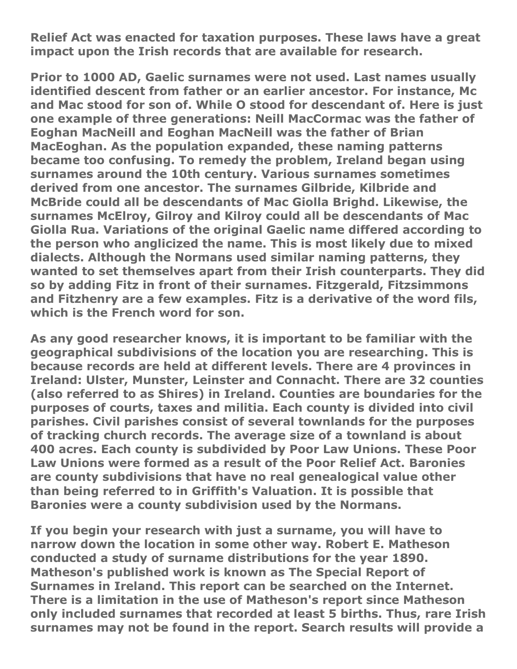**Relief Act was enacted for taxation purposes. These laws have a great impact upon the Irish records that are available for research.**

**Prior to 1000 AD, Gaelic surnames were not used. Last names usually identified descent from father or an earlier ancestor. For instance, Mc and Mac stood for son of. While O stood for descendant of. Here is just one example of three generations: Neill MacCormac was the father of Eoghan MacNeill and Eoghan MacNeill was the father of Brian MacEoghan. As the population expanded, these naming patterns became too confusing. To remedy the problem, Ireland began using surnames around the 10th century. Various surnames sometimes derived from one ancestor. The surnames Gilbride, Kilbride and McBride could all be descendants of Mac Giolla Brighd. Likewise, the surnames McElroy, Gilroy and Kilroy could all be descendants of Mac Giolla Rua. Variations of the original Gaelic name differed according to the person who anglicized the name. This is most likely due to mixed dialects. Although the Normans used similar naming patterns, they wanted to set themselves apart from their Irish counterparts. They did so by adding Fitz in front of their surnames. Fitzgerald, Fitzsimmons and Fitzhenry are a few examples. Fitz is a derivative of the word fils, which is the French word for son.**

**As any good researcher knows, it is important to be familiar with the geographical subdivisions of the location you are researching. This is because records are held at different levels. There are 4 provinces in Ireland: Ulster, Munster, Leinster and Connacht. There are 32 counties (also referred to as Shires) in Ireland. Counties are boundaries for the purposes of courts, taxes and militia. Each county is divided into civil parishes. Civil parishes consist of several townlands for the purposes of tracking church records. The average size of a townland is about 400 acres. Each county is subdivided by Poor Law Unions. These Poor Law Unions were formed as a result of the Poor Relief Act. Baronies are county subdivisions that have no real genealogical value other than being referred to in Griffith's Valuation. It is possible that Baronies were a county subdivision used by the Normans.**

**If you begin your research with just a surname, you will have to narrow down the location in some other way. Robert E. Matheson conducted a study of surname distributions for the year 1890. Matheson's published work is known as The Special Report of Surnames in Ireland. This report can be searched on the Internet. There is a limitation in the use of Matheson's report since Matheson only included surnames that recorded at least 5 births. Thus, rare Irish surnames may not be found in the report. Search results will provide a**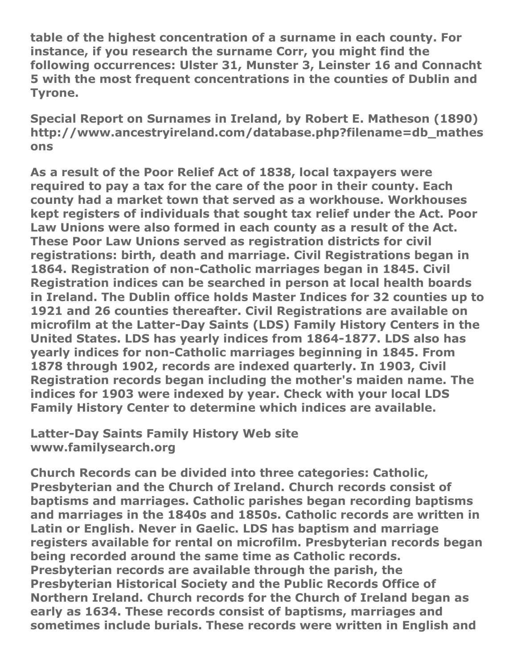**table of the highest concentration of a surname in each county. For instance, if you research the surname Corr, you might find the following occurrences: Ulster 31, Munster 3, Leinster 16 and Connacht 5 with the most frequent concentrations in the counties of Dublin and Tyrone.**

**Special Report on Surnames in Ireland, by Robert E. Matheson (1890) http://www.ancestryireland.com/database.php?filename=db\_mathes ons**

**As a result of the Poor Relief Act of 1838, local taxpayers were required to pay a tax for the care of the poor in their county. Each county had a market town that served as a workhouse. Workhouses kept registers of individuals that sought tax relief under the Act. Poor Law Unions were also formed in each county as a result of the Act. These Poor Law Unions served as registration districts for civil registrations: birth, death and marriage. Civil Registrations began in 1864. Registration of non-Catholic marriages began in 1845. Civil Registration indices can be searched in person at local health boards in Ireland. The Dublin office holds Master Indices for 32 counties up to 1921 and 26 counties thereafter. Civil Registrations are available on microfilm at the Latter-Day Saints (LDS) Family History Centers in the United States. LDS has yearly indices from 1864-1877. LDS also has yearly indices for non-Catholic marriages beginning in 1845. From 1878 through 1902, records are indexed quarterly. In 1903, Civil Registration records began including the mother's maiden name. The indices for 1903 were indexed by year. Check with your local LDS Family History Center to determine which indices are available.**

**Latter-Day Saints Family History Web site www.familysearch.org**

**Church Records can be divided into three categories: Catholic, Presbyterian and the Church of Ireland. Church records consist of baptisms and marriages. Catholic parishes began recording baptisms and marriages in the 1840s and 1850s. Catholic records are written in Latin or English. Never in Gaelic. LDS has baptism and marriage registers available for rental on microfilm. Presbyterian records began being recorded around the same time as Catholic records. Presbyterian records are available through the parish, the Presbyterian Historical Society and the Public Records Office of Northern Ireland. Church records for the Church of Ireland began as early as 1634. These records consist of baptisms, marriages and sometimes include burials. These records were written in English and**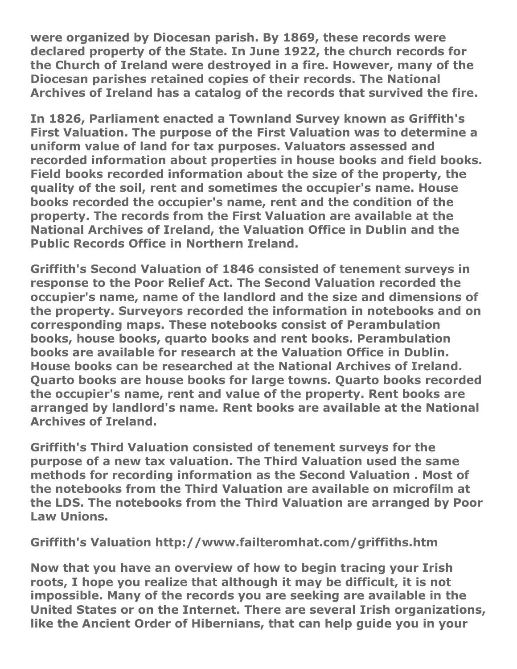**were organized by Diocesan parish. By 1869, these records were declared property of the State. In June 1922, the church records for the Church of Ireland were destroyed in a fire. However, many of the Diocesan parishes retained copies of their records. The National Archives of Ireland has a catalog of the records that survived the fire.**

**In 1826, Parliament enacted a Townland Survey known as Griffith's First Valuation. The purpose of the First Valuation was to determine a uniform value of land for tax purposes. Valuators assessed and recorded information about properties in house books and field books. Field books recorded information about the size of the property, the quality of the soil, rent and sometimes the occupier's name. House books recorded the occupier's name, rent and the condition of the property. The records from the First Valuation are available at the National Archives of Ireland, the Valuation Office in Dublin and the Public Records Office in Northern Ireland.**

**Griffith's Second Valuation of 1846 consisted of tenement surveys in response to the Poor Relief Act. The Second Valuation recorded the occupier's name, name of the landlord and the size and dimensions of the property. Surveyors recorded the information in notebooks and on corresponding maps. These notebooks consist of Perambulation books, house books, quarto books and rent books. Perambulation books are available for research at the Valuation Office in Dublin. House books can be researched at the National Archives of Ireland. Quarto books are house books for large towns. Quarto books recorded the occupier's name, rent and value of the property. Rent books are arranged by landlord's name. Rent books are available at the National Archives of Ireland.**

**Griffith's Third Valuation consisted of tenement surveys for the purpose of a new tax valuation. The Third Valuation used the same methods for recording information as the Second Valuation . Most of the notebooks from the Third Valuation are available on microfilm at the LDS. The notebooks from the Third Valuation are arranged by Poor Law Unions.**

**Griffith's Valuation http://www.failteromhat.com/griffiths.htm**

**Now that you have an overview of how to begin tracing your Irish roots, I hope you realize that although it may be difficult, it is not impossible. Many of the records you are seeking are available in the United States or on the Internet. There are several Irish organizations, like the Ancient Order of Hibernians, that can help guide you in your**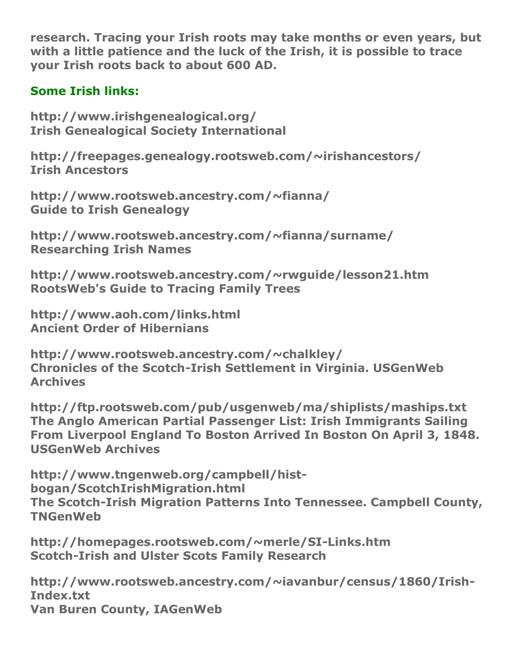**research. Tracing your Irish roots may take months or even years, but with a little patience and the luck of the Irish, it is possible to trace your Irish roots back to about 600 AD.**

#### **Some Irish links:**

**http://www.irishgenealogical.org/ Irish Genealogical Society International**

**http://freepages.genealogy.rootsweb.com/~irishancestors/ Irish Ancestors**

**http://www.rootsweb.ancestry.com/~fianna/ Guide to Irish Genealogy**

**http://www.rootsweb.ancestry.com/~fianna/surname/ Researching Irish Names**

**http://www.rootsweb.ancestry.com/~rwguide/lesson21.htm RootsWeb's Guide to Tracing Family Trees**

**http://www.aoh.com/links.html Ancient Order of Hibernians**

**http://www.rootsweb.ancestry.com/~chalkley/ Chronicles of the Scotch-Irish Settlement in Virginia. USGenWeb Archives**

**http://ftp.rootsweb.com/pub/usgenweb/ma/shiplists/maships.txt The Anglo American Partial Passenger List: Irish Immigrants Sailing From Liverpool England To Boston Arrived In Boston On April 3, 1848. USGenWeb Archives**

**http://www.tngenweb.org/campbell/histbogan/ScotchIrishMigration.html The Scotch-Irish Migration Patterns Into Tennessee. Campbell County, TNGenWeb**

**http://homepages.rootsweb.com/~merle/SI-Links.htm Scotch-Irish and Ulster Scots Family Research**

**http://www.rootsweb.ancestry.com/~iavanbur/census/1860/Irish-Index.txt Van Buren County, IAGenWeb**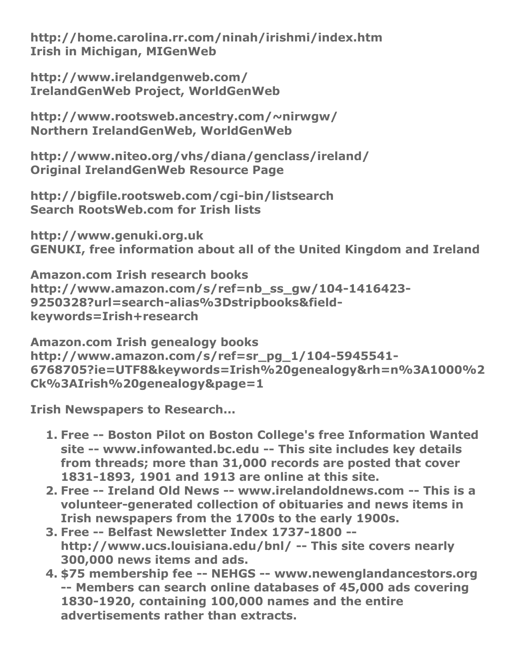**http://home.carolina.rr.com/ninah/irishmi/index.htm Irish in Michigan, MIGenWeb**

**http://www.irelandgenweb.com/ IrelandGenWeb Project, WorldGenWeb**

**http://www.rootsweb.ancestry.com/~nirwgw/ Northern IrelandGenWeb, WorldGenWeb**

**http://www.niteo.org/vhs/diana/genclass/ireland/ Original IrelandGenWeb Resource Page**

**http://bigfile.rootsweb.com/cgi-bin/listsearch Search RootsWeb.com for Irish lists**

**http://www.genuki.org.uk GENUKI, free information about all of the United Kingdom and Ireland**

**Amazon.com Irish research books http://www.amazon.com/s/ref=nb\_ss\_gw/104-1416423- 9250328?url=search-alias%3Dstripbooks&fieldkeywords=Irish+research**

**Amazon.com Irish genealogy books http://www.amazon.com/s/ref=sr\_pg\_1/104-5945541- 6768705?ie=UTF8&keywords=Irish%20genealogy&rh=n%3A1000%2 Ck%3AIrish%20genealogy&page=1**

**Irish Newspapers to Research...**

- **1. Free -- Boston Pilot on Boston College's free Information Wanted site -- www.infowanted.bc.edu -- This site includes key details from threads; more than 31,000 records are posted that cover 1831-1893, 1901 and 1913 are online at this site.**
- **2. Free -- Ireland Old News -- www.irelandoldnews.com -- This is a volunteer-generated collection of obituaries and news items in Irish newspapers from the 1700s to the early 1900s.**
- **3. Free -- Belfast Newsletter Index 1737-1800 - http://www.ucs.louisiana.edu/bnl/ -- This site covers nearly 300,000 news items and ads.**
- **4. \$75 membership fee -- NEHGS -- www.newenglandancestors.org -- Members can search online databases of 45,000 ads covering 1830-1920, containing 100,000 names and the entire advertisements rather than extracts.**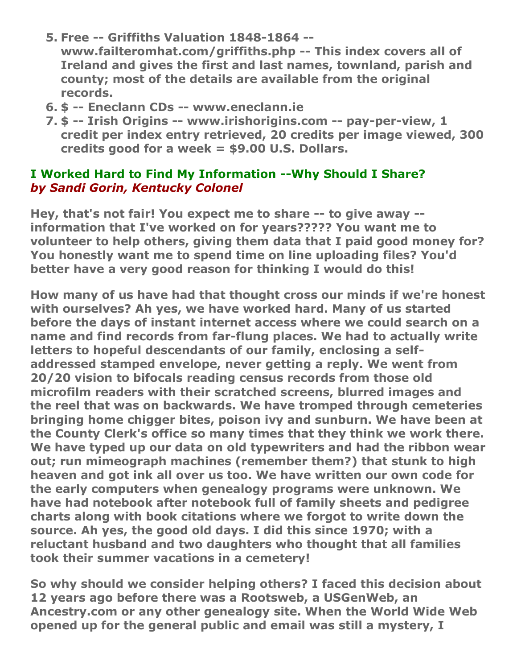- **5. Free -- Griffiths Valuation 1848-1864 - www.failteromhat.com/griffiths.php -- This index covers all of Ireland and gives the first and last names, townland, parish and county; most of the details are available from the original records.**
- **6. \$ -- Eneclann CDs -- www.eneclann.ie**
- **7. \$ -- Irish Origins -- www.irishorigins.com -- pay-per-view, 1 credit per index entry retrieved, 20 credits per image viewed, 300 credits good for a week = \$9.00 U.S. Dollars.**

#### **I Worked Hard to Find My Information --Why Should I Share?** *by Sandi Gorin, Kentucky Colonel*

**Hey, that's not fair! You expect me to share -- to give away - information that I've worked on for years????? You want me to volunteer to help others, giving them data that I paid good money for? You honestly want me to spend time on line uploading files? You'd better have a very good reason for thinking I would do this!**

**How many of us have had that thought cross our minds if we're honest with ourselves? Ah yes, we have worked hard. Many of us started before the days of instant internet access where we could search on a name and find records from far-flung places. We had to actually write letters to hopeful descendants of our family, enclosing a selfaddressed stamped envelope, never getting a reply. We went from 20/20 vision to bifocals reading census records from those old microfilm readers with their scratched screens, blurred images and the reel that was on backwards. We have tromped through cemeteries bringing home chigger bites, poison ivy and sunburn. We have been at the County Clerk's office so many times that they think we work there. We have typed up our data on old typewriters and had the ribbon wear out; run mimeograph machines (remember them?) that stunk to high heaven and got ink all over us too. We have written our own code for the early computers when genealogy programs were unknown. We have had notebook after notebook full of family sheets and pedigree charts along with book citations where we forgot to write down the source. Ah yes, the good old days. I did this since 1970; with a reluctant husband and two daughters who thought that all families took their summer vacations in a cemetery!**

**So why should we consider helping others? I faced this decision about 12 years ago before there was a Rootsweb, a USGenWeb, an Ancestry.com or any other genealogy site. When the World Wide Web opened up for the general public and email was still a mystery, I**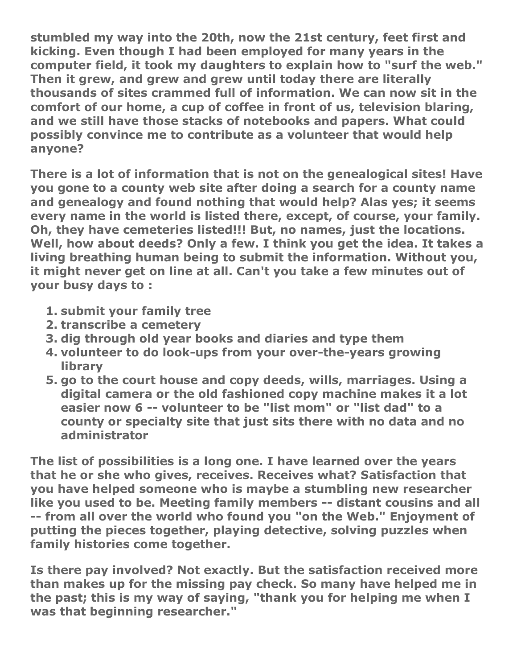**stumbled my way into the 20th, now the 21st century, feet first and kicking. Even though I had been employed for many years in the computer field, it took my daughters to explain how to "surf the web." Then it grew, and grew and grew until today there are literally thousands of sites crammed full of information. We can now sit in the comfort of our home, a cup of coffee in front of us, television blaring, and we still have those stacks of notebooks and papers. What could possibly convince me to contribute as a volunteer that would help anyone?**

**There is a lot of information that is not on the genealogical sites! Have you gone to a county web site after doing a search for a county name and genealogy and found nothing that would help? Alas yes; it seems every name in the world is listed there, except, of course, your family. Oh, they have cemeteries listed!!! But, no names, just the locations. Well, how about deeds? Only a few. I think you get the idea. It takes a living breathing human being to submit the information. Without you, it might never get on line at all. Can't you take a few minutes out of your busy days to :**

- **1. submit your family tree**
- **2. transcribe a cemetery**
- **3. dig through old year books and diaries and type them**
- **4. volunteer to do look-ups from your over-the-years growing library**
- **5. go to the court house and copy deeds, wills, marriages. Using a digital camera or the old fashioned copy machine makes it a lot easier now 6 -- volunteer to be "list mom" or "list dad" to a county or specialty site that just sits there with no data and no administrator**

**The list of possibilities is a long one. I have learned over the years that he or she who gives, receives. Receives what? Satisfaction that you have helped someone who is maybe a stumbling new researcher like you used to be. Meeting family members -- distant cousins and all -- from all over the world who found you "on the Web." Enjoyment of putting the pieces together, playing detective, solving puzzles when family histories come together.**

**Is there pay involved? Not exactly. But the satisfaction received more than makes up for the missing pay check. So many have helped me in the past; this is my way of saying, "thank you for helping me when I was that beginning researcher."**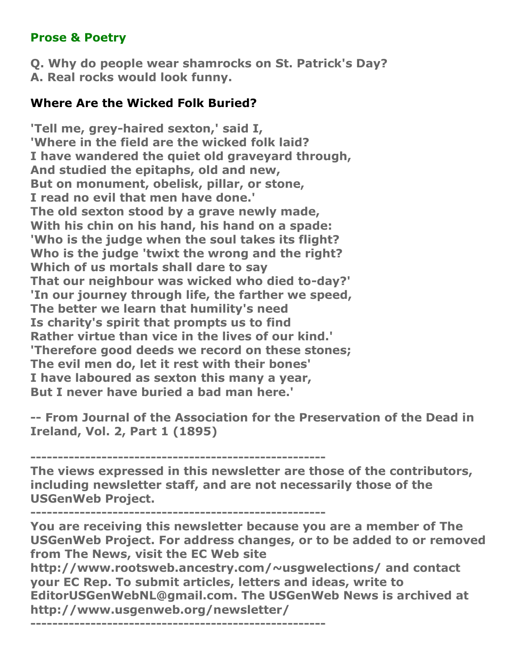#### **Prose & Poetry**

**Q. Why do people wear shamrocks on St. Patrick's Day? A. Real rocks would look funny.**

#### **Where Are the Wicked Folk Buried?**

**'Tell me, grey-haired sexton,' said I, 'Where in the field are the wicked folk laid? I have wandered the quiet old graveyard through, And studied the epitaphs, old and new, But on monument, obelisk, pillar, or stone, I read no evil that men have done.' The old sexton stood by a grave newly made, With his chin on his hand, his hand on a spade: 'Who is the judge when the soul takes its flight? Who is the judge 'twixt the wrong and the right? Which of us mortals shall dare to say That our neighbour was wicked who died to-day?' 'In our journey through life, the farther we speed, The better we learn that humility's need Is charity's spirit that prompts us to find Rather virtue than vice in the lives of our kind.' 'Therefore good deeds we record on these stones; The evil men do, let it rest with their bones' I have laboured as sexton this many a year, But I never have buried a bad man here.'**

**-- From Journal of the Association for the Preservation of the Dead in Ireland, Vol. 2, Part 1 (1895)**

**------------------------------------------------------**

**The views expressed in this newsletter are those of the contributors, including newsletter staff, and are not necessarily those of the USGenWeb Project.**

**------------------------------------------------------**

**You are receiving this newsletter because you are a member of The USGenWeb Project. For address changes, or to be added to or removed from The News, visit the EC Web site** 

**http://www.rootsweb.ancestry.com/~usgwelections/ and contact your EC Rep. To submit articles, letters and ideas, write to EditorUSGenWebNL@gmail.com. The USGenWeb News is archived at http://www.usgenweb.org/newsletter/**

**------------------------------------------------------**